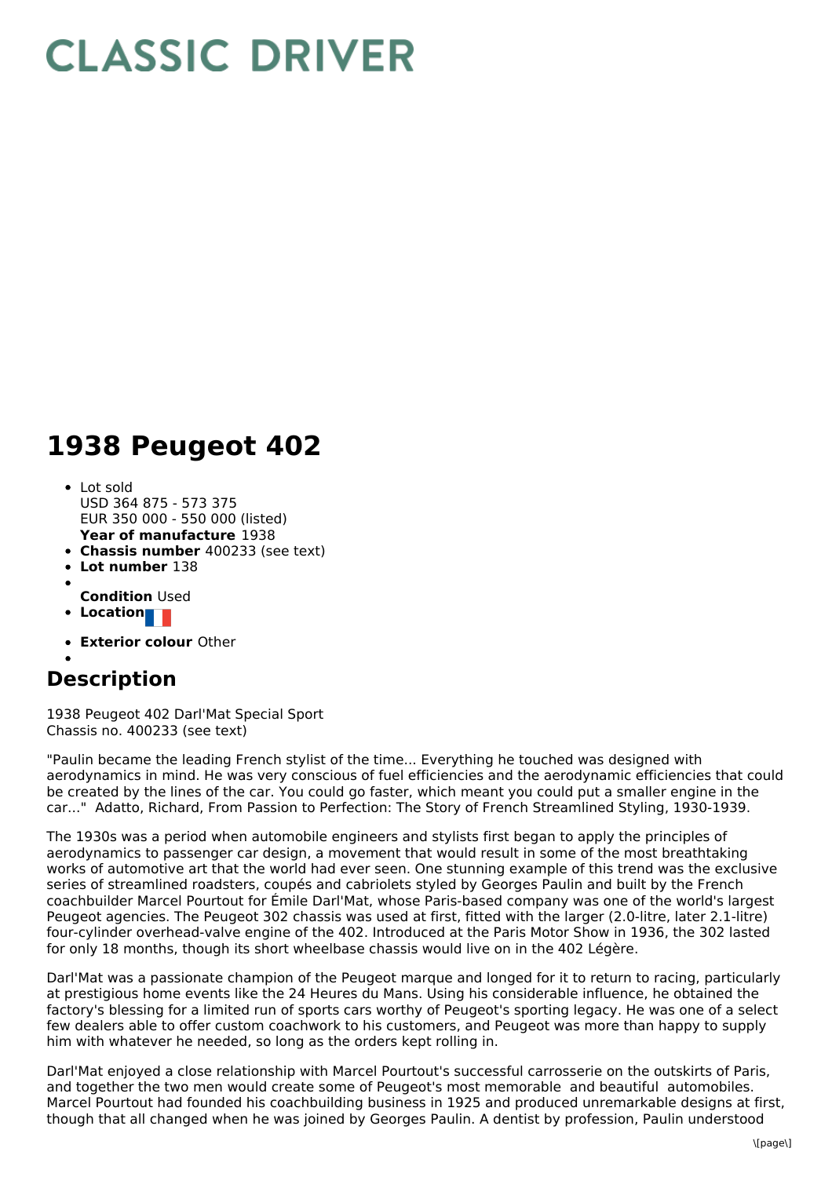## **CLASSIC DRIVER**

## **1938 Peugeot 402**

- **Year of manufacture** 1938 Lot sold USD 364 875 - 573 375 EUR 350 000 - 550 000 (listed)
- **Chassis number** 400233 (see text)
- **Lot number** 138
- 
- **Condition** Used
- **Location**
- **Exterior colour** Other

## **Description**

1938 Peugeot 402 Darl'Mat Special Sport Chassis no. 400233 (see text)

"Paulin became the leading French stylist of the time... Everything he touched was designed with aerodynamics in mind. He was very conscious of fuel efficiencies and the aerodynamic efficiencies that could be created by the lines of the car. You could go faster, which meant you could put a smaller engine in the car..." Adatto, Richard, From Passion to Perfection: The Story of French Streamlined Styling, 1930-1939.

The 1930s was a period when automobile engineers and stylists first began to apply the principles of aerodynamics to passenger car design, a movement that would result in some of the most breathtaking works of automotive art that the world had ever seen. One stunning example of this trend was the exclusive series of streamlined roadsters, coupés and cabriolets styled by Georges Paulin and built by the French coachbuilder Marcel Pourtout for Émile Darl'Mat, whose Paris-based company was one of the world's largest Peugeot agencies. The Peugeot 302 chassis was used at first, fitted with the larger (2.0-litre, later 2.1-litre) four-cylinder overhead-valve engine of the 402. Introduced at the Paris Motor Show in 1936, the 302 lasted for only 18 months, though its short wheelbase chassis would live on in the 402 Légère.

Darl'Mat was a passionate champion of the Peugeot marque and longed for it to return to racing, particularly at prestigious home events like the 24 Heures du Mans. Using his considerable influence, he obtained the factory's blessing for a limited run of sports cars worthy of Peugeot's sporting legacy. He was one of a select few dealers able to offer custom coachwork to his customers, and Peugeot was more than happy to supply him with whatever he needed, so long as the orders kept rolling in.

Darl'Mat enjoyed a close relationship with Marcel Pourtout's successful carrosserie on the outskirts of Paris, and together the two men would create some of Peugeot's most memorable and beautiful automobiles. Marcel Pourtout had founded his coachbuilding business in 1925 and produced unremarkable designs at first, though that all changed when he was joined by Georges Paulin. A dentist by profession, Paulin understood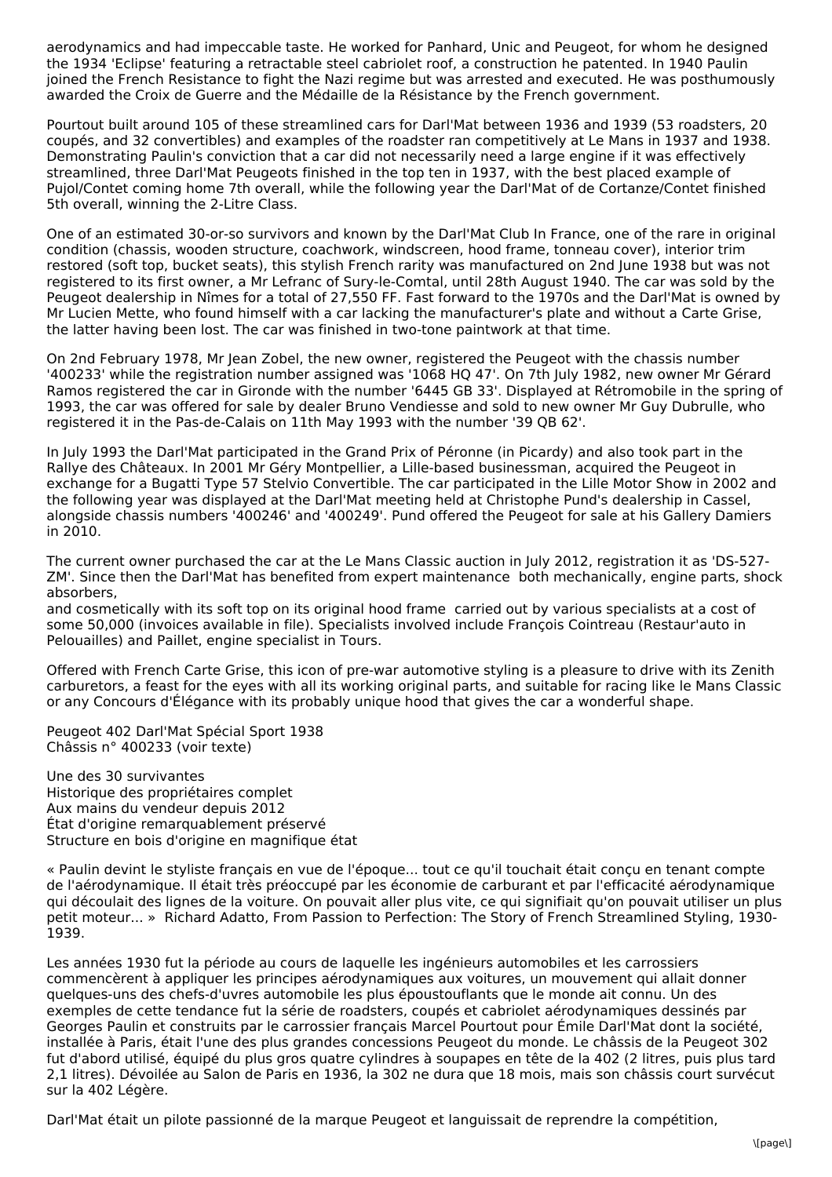aerodynamics and had impeccable taste. He worked for Panhard, Unic and Peugeot, for whom he designed the 1934 'Eclipse' featuring a retractable steel cabriolet roof, a construction he patented. In 1940 Paulin joined the French Resistance to fight the Nazi regime but was arrested and executed. He was posthumously awarded the Croix de Guerre and the Médaille de la Résistance by the French government.

Pourtout built around 105 of these streamlined cars for Darl'Mat between 1936 and 1939 (53 roadsters, 20 coupés, and 32 convertibles) and examples of the roadster ran competitively at Le Mans in 1937 and 1938. Demonstrating Paulin's conviction that a car did not necessarily need a large engine if it was effectively streamlined, three Darl'Mat Peugeots finished in the top ten in 1937, with the best placed example of Pujol/Contet coming home 7th overall, while the following year the Darl'Mat of de Cortanze/Contet finished 5th overall, winning the 2-Litre Class.

One of an estimated 30-or-so survivors and known by the Darl'Mat Club In France, one of the rare in original condition (chassis, wooden structure, coachwork, windscreen, hood frame, tonneau cover), interior trim restored (soft top, bucket seats), this stylish French rarity was manufactured on 2nd June 1938 but was not registered to its first owner, a Mr Lefranc of Sury-le-Comtal, until 28th August 1940. The car was sold by the Peugeot dealership in Nîmes for a total of 27,550 FF. Fast forward to the 1970s and the Darl'Mat is owned by Mr Lucien Mette, who found himself with a car lacking the manufacturer's plate and without a Carte Grise, the latter having been lost. The car was finished in two-tone paintwork at that time.

On 2nd February 1978, Mr Jean Zobel, the new owner, registered the Peugeot with the chassis number '400233' while the registration number assigned was '1068 HQ 47'. On 7th July 1982, new owner Mr Gérard Ramos registered the car in Gironde with the number '6445 GB 33'. Displayed at Rétromobile in the spring of 1993, the car was offered for sale by dealer Bruno Vendiesse and sold to new owner Mr Guy Dubrulle, who registered it in the Pas-de-Calais on 11th May 1993 with the number '39 QB 62'.

In July 1993 the Darl'Mat participated in the Grand Prix of Péronne (in Picardy) and also took part in the Rallye des Châteaux. In 2001 Mr Géry Montpellier, a Lille-based businessman, acquired the Peugeot in exchange for a Bugatti Type 57 Stelvio Convertible. The car participated in the Lille Motor Show in 2002 and the following year was displayed at the Darl'Mat meeting held at Christophe Pund's dealership in Cassel, alongside chassis numbers '400246' and '400249'. Pund offered the Peugeot for sale at his Gallery Damiers in 2010.

The current owner purchased the car at the Le Mans Classic auction in July 2012, registration it as 'DS-527- ZM'. Since then the Darl'Mat has benefited from expert maintenance both mechanically, engine parts, shock absorbers,

and cosmetically with its soft top on its original hood frame carried out by various specialists at a cost of some 50,000 (invoices available in file). Specialists involved include François Cointreau (Restaur'auto in Pelouailles) and Paillet, engine specialist in Tours.

Offered with French Carte Grise, this icon of pre-war automotive styling is a pleasure to drive with its Zenith carburetors, a feast for the eyes with all its working original parts, and suitable for racing like le Mans Classic or any Concours d'Élégance with its probably unique hood that gives the car a wonderful shape.

Peugeot 402 Darl'Mat Spécial Sport 1938 Châssis n° 400233 (voir texte)

Une des 30 survivantes Historique des propriétaires complet Aux mains du vendeur depuis 2012 État d'origine remarquablement préservé Structure en bois d'origine en magnifique état

« Paulin devint le styliste français en vue de l'époque... tout ce qu'il touchait était conçu en tenant compte de l'aérodynamique. Il était très préoccupé par les économie de carburant et par l'efficacité aérodynamique qui découlait des lignes de la voiture. On pouvait aller plus vite, ce qui signifiait qu'on pouvait utiliser un plus petit moteur... » Richard Adatto, From Passion to Perfection: The Story of French Streamlined Styling, 1930- 1939.

Les années 1930 fut la période au cours de laquelle les ingénieurs automobiles et les carrossiers commencèrent à appliquer les principes aérodynamiques aux voitures, un mouvement qui allait donner quelques-uns des chefs-d'uvres automobile les plus époustouflants que le monde ait connu. Un des exemples de cette tendance fut la série de roadsters, coupés et cabriolet aérodynamiques dessinés par Georges Paulin et construits par le carrossier français Marcel Pourtout pour Émile Darl'Mat dont la société, installée à Paris, était l'une des plus grandes concessions Peugeot du monde. Le châssis de la Peugeot 302 fut d'abord utilisé, équipé du plus gros quatre cylindres à soupapes en tête de la 402 (2 litres, puis plus tard 2,1 litres). Dévoilée au Salon de Paris en 1936, la 302 ne dura que 18 mois, mais son châssis court survécut sur la 402 Légère.

Darl'Mat était un pilote passionné de la marque Peugeot et languissait de reprendre la compétition,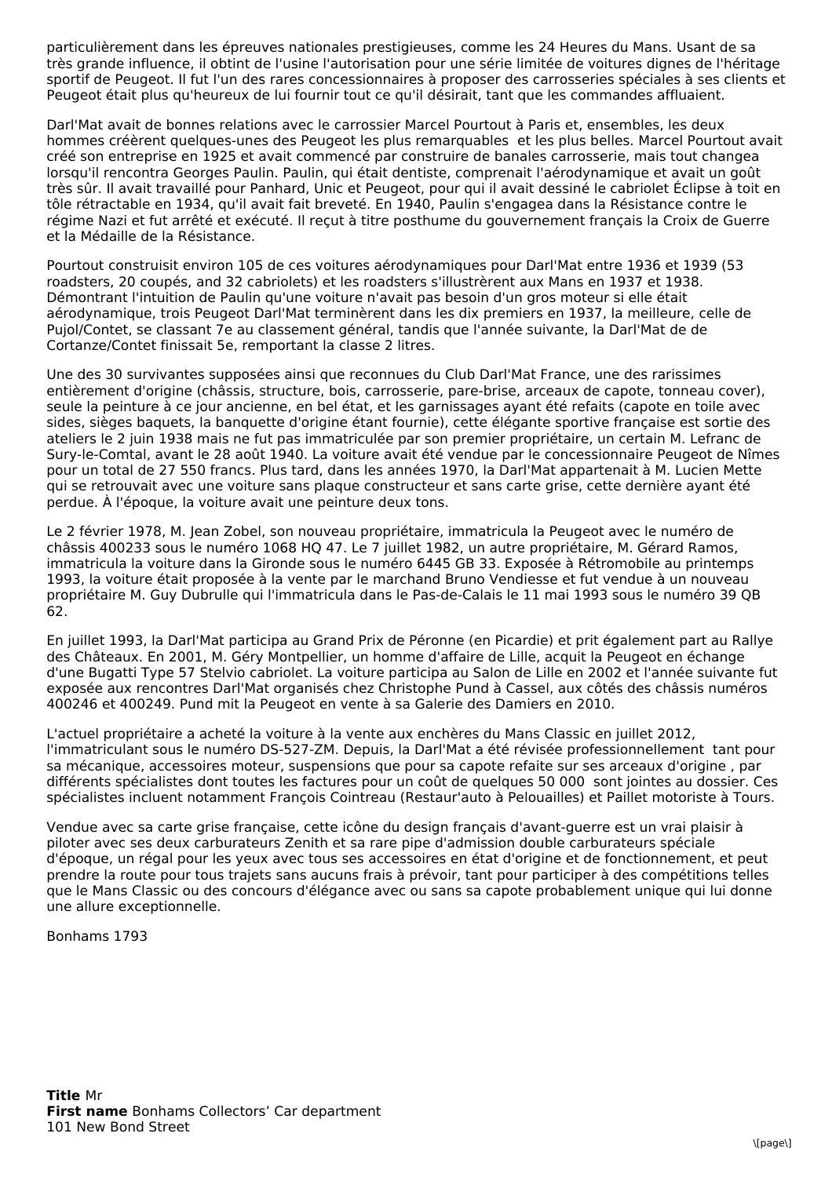particulièrement dans les épreuves nationales prestigieuses, comme les 24 Heures du Mans. Usant de sa très grande influence, il obtint de l'usine l'autorisation pour une série limitée de voitures dignes de l'héritage sportif de Peugeot. Il fut l'un des rares concessionnaires à proposer des carrosseries spéciales à ses clients et Peugeot était plus qu'heureux de lui fournir tout ce qu'il désirait, tant que les commandes affluaient.

Darl'Mat avait de bonnes relations avec le carrossier Marcel Pourtout à Paris et, ensembles, les deux hommes créèrent quelques-unes des Peugeot les plus remarquables et les plus belles. Marcel Pourtout avait créé son entreprise en 1925 et avait commencé par construire de banales carrosserie, mais tout changea lorsqu'il rencontra Georges Paulin. Paulin, qui était dentiste, comprenait l'aérodynamique et avait un goût très sûr. Il avait travaillé pour Panhard, Unic et Peugeot, pour qui il avait dessiné le cabriolet Éclipse à toit en tôle rétractable en 1934, qu'il avait fait breveté. En 1940, Paulin s'engagea dans la Résistance contre le régime Nazi et fut arrêté et exécuté. Il reçut à titre posthume du gouvernement français la Croix de Guerre et la Médaille de la Résistance.

Pourtout construisit environ 105 de ces voitures aérodynamiques pour Darl'Mat entre 1936 et 1939 (53 roadsters, 20 coupés, and 32 cabriolets) et les roadsters s'illustrèrent aux Mans en 1937 et 1938. Démontrant l'intuition de Paulin qu'une voiture n'avait pas besoin d'un gros moteur si elle était aérodynamique, trois Peugeot Darl'Mat terminèrent dans les dix premiers en 1937, la meilleure, celle de Pujol/Contet, se classant 7e au classement général, tandis que l'année suivante, la Darl'Mat de de Cortanze/Contet finissait 5e, remportant la classe 2 litres.

Une des 30 survivantes supposées ainsi que reconnues du Club Darl'Mat France, une des rarissimes entièrement d'origine (châssis, structure, bois, carrosserie, pare-brise, arceaux de capote, tonneau cover), seule la peinture à ce jour ancienne, en bel état, et les garnissages ayant été refaits (capote en toile avec sides, sièges baquets, la banquette d'origine étant fournie), cette élégante sportive française est sortie des ateliers le 2 juin 1938 mais ne fut pas immatriculée par son premier propriétaire, un certain M. Lefranc de Sury-le-Comtal, avant le 28 août 1940. La voiture avait été vendue par le concessionnaire Peugeot de Nîmes pour un total de 27 550 francs. Plus tard, dans les années 1970, la Darl'Mat appartenait à M. Lucien Mette qui se retrouvait avec une voiture sans plaque constructeur et sans carte grise, cette dernière ayant été perdue. À l'époque, la voiture avait une peinture deux tons.

Le 2 février 1978, M. Jean Zobel, son nouveau propriétaire, immatricula la Peugeot avec le numéro de châssis 400233 sous le numéro 1068 HQ 47. Le 7 juillet 1982, un autre propriétaire, M. Gérard Ramos, immatricula la voiture dans la Gironde sous le numéro 6445 GB 33. Exposée à Rétromobile au printemps 1993, la voiture était proposée à la vente par le marchand Bruno Vendiesse et fut vendue à un nouveau propriétaire M. Guy Dubrulle qui l'immatricula dans le Pas-de-Calais le 11 mai 1993 sous le numéro 39 QB 62.

En juillet 1993, la Darl'Mat participa au Grand Prix de Péronne (en Picardie) et prit également part au Rallye des Châteaux. En 2001, M. Géry Montpellier, un homme d'affaire de Lille, acquit la Peugeot en échange d'une Bugatti Type 57 Stelvio cabriolet. La voiture participa au Salon de Lille en 2002 et l'année suivante fut exposée aux rencontres Darl'Mat organisés chez Christophe Pund à Cassel, aux côtés des châssis numéros 400246 et 400249. Pund mit la Peugeot en vente à sa Galerie des Damiers en 2010.

L'actuel propriétaire a acheté la voiture à la vente aux enchères du Mans Classic en juillet 2012, l'immatriculant sous le numéro DS-527-ZM. Depuis, la Darl'Mat a été révisée professionnellement tant pour sa mécanique, accessoires moteur, suspensions que pour sa capote refaite sur ses arceaux d'origine , par différents spécialistes dont toutes les factures pour un coût de quelques 50 000 sont jointes au dossier. Ces spécialistes incluent notamment François Cointreau (Restaur'auto à Pelouailles) et Paillet motoriste à Tours.

Vendue avec sa carte grise française, cette icône du design français d'avant-guerre est un vrai plaisir à piloter avec ses deux carburateurs Zenith et sa rare pipe d'admission double carburateurs spéciale d'époque, un régal pour les yeux avec tous ses accessoires en état d'origine et de fonctionnement, et peut prendre la route pour tous trajets sans aucuns frais à prévoir, tant pour participer à des compétitions telles que le Mans Classic ou des concours d'élégance avec ou sans sa capote probablement unique qui lui donne une allure exceptionnelle.

Bonhams 1793